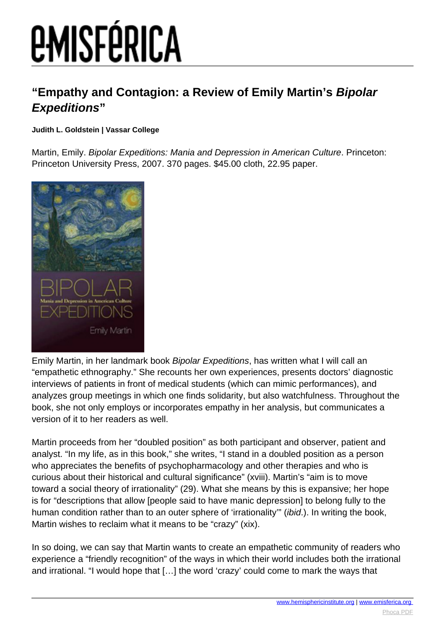# **EMISFÉRICA**

### **"Empathy and Contagion: a Review of Emily Martin's Bipolar Expeditions"**

#### **Judith L. Goldstein | Vassar College**

Martin, Emily. Bipolar Expeditions: Mania and Depression in American Culture. Princeton: Princeton University Press, 2007. 370 pages. \$45.00 cloth, 22.95 paper.



Emily Martin, in her landmark book Bipolar Expeditions, has written what I will call an "empathetic ethnography." She recounts her own experiences, presents doctors' diagnostic interviews of patients in front of medical students (which can mimic performances), and analyzes group meetings in which one finds solidarity, but also watchfulness. Throughout the book, she not only employs or incorporates empathy in her analysis, but communicates a version of it to her readers as well.

Martin proceeds from her "doubled position" as both participant and observer, patient and analyst. "In my life, as in this book," she writes, "I stand in a doubled position as a person who appreciates the benefits of psychopharmacology and other therapies and who is curious about their historical and cultural significance" (xviii). Martin's "aim is to move toward a social theory of irrationality" (29). What she means by this is expansive; her hope is for "descriptions that allow [people said to have manic depression] to belong fully to the human condition rather than to an outer sphere of 'irrationality'" (ibid.). In writing the book, Martin wishes to reclaim what it means to be "crazy" (xix).

In so doing, we can say that Martin wants to create an empathetic community of readers who experience a "friendly recognition" of the ways in which their world includes both the irrational and irrational. "I would hope that […] the word 'crazy' could come to mark the ways that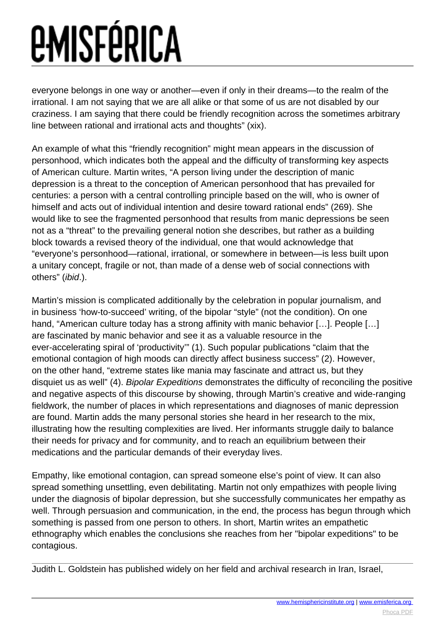## *<u>EMISFÉRICA</u>*

everyone belongs in one way or another—even if only in their dreams—to the realm of the irrational. I am not saying that we are all alike or that some of us are not disabled by our craziness. I am saying that there could be friendly recognition across the sometimes arbitrary line between rational and irrational acts and thoughts" (xix).

An example of what this "friendly recognition" might mean appears in the discussion of personhood, which indicates both the appeal and the difficulty of transforming key aspects of American culture. Martin writes, "A person living under the description of manic depression is a threat to the conception of American personhood that has prevailed for centuries: a person with a central controlling principle based on the will, who is owner of himself and acts out of individual intention and desire toward rational ends" (269). She would like to see the fragmented personhood that results from manic depressions be seen not as a "threat" to the prevailing general notion she describes, but rather as a building block towards a revised theory of the individual, one that would acknowledge that "everyone's personhood—rational, irrational, or somewhere in between—is less built upon a unitary concept, fragile or not, than made of a dense web of social connections with others" (ibid.).

Martin's mission is complicated additionally by the celebration in popular journalism, and in business 'how-to-succeed' writing, of the bipolar "style" (not the condition). On one hand, "American culture today has a strong affinity with manic behavior [...]. People [...] are fascinated by manic behavior and see it as a valuable resource in the ever-accelerating spiral of 'productivity'" (1). Such popular publications "claim that the emotional contagion of high moods can directly affect business success" (2). However, on the other hand, "extreme states like mania may fascinate and attract us, but they disquiet us as well" (4). Bipolar Expeditions demonstrates the difficulty of reconciling the positive and negative aspects of this discourse by showing, through Martin's creative and wide-ranging fieldwork, the number of places in which representations and diagnoses of manic depression are found. Martin adds the many personal stories she heard in her research to the mix, illustrating how the resulting complexities are lived. Her informants struggle daily to balance their needs for privacy and for community, and to reach an equilibrium between their medications and the particular demands of their everyday lives.

Empathy, like emotional contagion, can spread someone else's point of view. It can also spread something unsettling, even debilitating. Martin not only empathizes with people living under the diagnosis of bipolar depression, but she successfully communicates her empathy as well. Through persuasion and communication, in the end, the process has begun through which something is passed from one person to others. In short, Martin writes an empathetic ethnography which enables the conclusions she reaches from her "bipolar expeditions" to be contagious.

Judith L. Goldstein has published widely on her field and archival research in Iran, Israel,